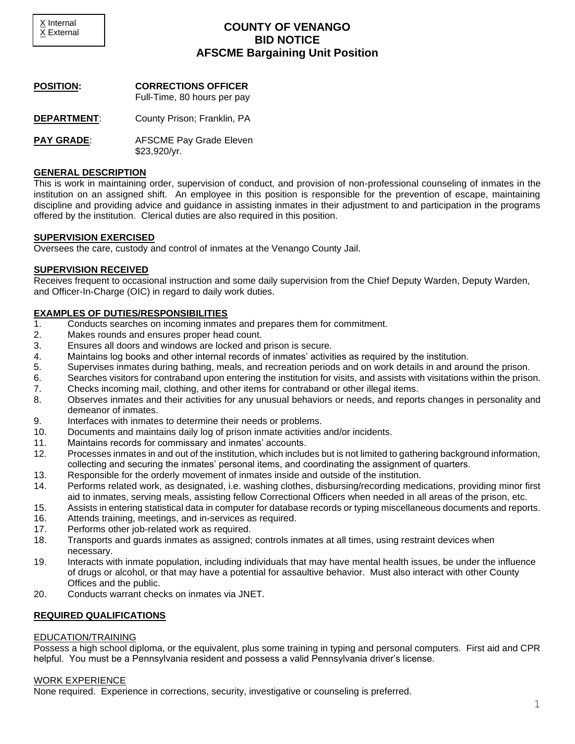# **COUNTY OF VENANGO BID NOTICE AFSCME Bargaining Unit Position**

**POSITION: CORRECTIONS OFFICER**

Full-Time, 80 hours per pay

- **DEPARTMENT**: County Prison; Franklin, PA
- **PAY GRADE:** AFSCME Pay Grade Eleven \$23,920/yr.

### **GENERAL DESCRIPTION**

This is work in maintaining order, supervision of conduct, and provision of non-professional counseling of inmates in the institution on an assigned shift. An employee in this position is responsible for the prevention of escape, maintaining discipline and providing advice and guidance in assisting inmates in their adjustment to and participation in the programs offered by the institution. Clerical duties are also required in this position.

### **SUPERVISION EXERCISED**

Oversees the care, custody and control of inmates at the Venango County Jail.

### **SUPERVISION RECEIVED**

Receives frequent to occasional instruction and some daily supervision from the Chief Deputy Warden, Deputy Warden, and Officer-In-Charge (OIC) in regard to daily work duties.

# **EXAMPLES OF DUTIES/RESPONSIBILITIES**

- 1. Conducts searches on incoming inmates and prepares them for commitment.
- 2. Makes rounds and ensures proper head count.
- 3. Ensures all doors and windows are locked and prison is secure.
- 4. Maintains log books and other internal records of inmates' activities as required by the institution.
- 5. Supervises inmates during bathing, meals, and recreation periods and on work details in and around the prison.
- 6. Searches visitors for contraband upon entering the institution for visits, and assists with visitations within the prison.
- 7. Checks incoming mail, clothing, and other items for contraband or other illegal items.
- 8. Observes inmates and their activities for any unusual behaviors or needs, and reports changes in personality and demeanor of inmates.
- 9. Interfaces with inmates to determine their needs or problems.
- 10. Documents and maintains daily log of prison inmate activities and/or incidents.
- 11. Maintains records for commissary and inmates' accounts.
- 12. Processes inmates in and out of the institution, which includes but is not limited to gathering background information, collecting and securing the inmates' personal items, and coordinating the assignment of quarters.
- 13. Responsible for the orderly movement of inmates inside and outside of the institution.
- 14. Performs related work, as designated, i.e. washing clothes, disbursing/recording medications, providing minor first aid to inmates, serving meals, assisting fellow Correctional Officers when needed in all areas of the prison, etc.
- 15. Assists in entering statistical data in computer for database records or typing miscellaneous documents and reports.
- 16. Attends training, meetings, and in-services as required.
- 17. Performs other job-related work as required.
- 18. Transports and guards inmates as assigned; controls inmates at all times, using restraint devices when necessary.
- 19. Interacts with inmate population, including individuals that may have mental health issues, be under the influence of drugs or alcohol, or that may have a potential for assaultive behavior. Must also interact with other County Offices and the public.
- 20. Conducts warrant checks on inmates via JNET.

# **REQUIRED QUALIFICATIONS**

### EDUCATION/TRAINING

Possess a high school diploma, or the equivalent, plus some training in typing and personal computers. First aid and CPR helpful. You must be a Pennsylvania resident and possess a valid Pennsylvania driver's license.

### WORK EXPERIENCE

None required. Experience in corrections, security, investigative or counseling is preferred.